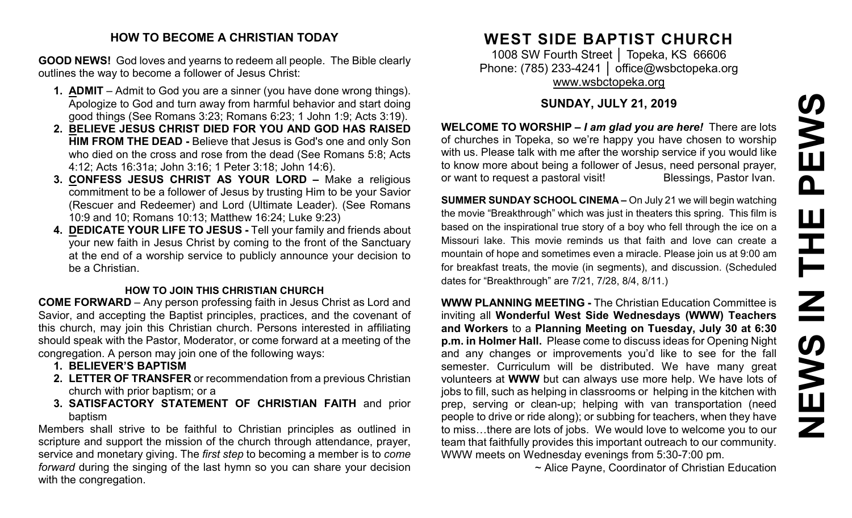#### **HOW TO BECOME A CHRISTIAN TODAY**

**GOOD NEWS!** God loves and yearns to redeem all people. The Bible clearly outlines the way to become a follower of Jesus Christ:

- **1. ADMIT** Admit to God you are a sinner (you have done wrong things). Apologize to God and turn away from harmful behavior and start doing good things (See Romans 3:23; Romans 6:23; 1 John 1:9; Acts 3:19).
- **2. BELIEVE JESUS CHRIST DIED FOR YOU AND GOD HAS RAISED HIM FROM THE DEAD -** Believe that Jesus is God's one and only Son who died on the cross and rose from the dead (See Romans 5:8; Acts 4:12; Acts 16:31a; John 3:16; 1 Peter 3:18; John 14:6).
- **3. CONFESS JESUS CHRIST AS YOUR LORD –** Make a religious commitment to be a follower of Jesus by trusting Him to be your Savior (Rescuer and Redeemer) and Lord (Ultimate Leader). (See Romans 10:9 and 10; Romans 10:13; Matthew 16:24; Luke 9:23)
- **4. DEDICATE YOUR LIFE TO JESUS -** Tell your family and friends about your new faith in Jesus Christ by coming to the front of the Sanctuary at the end of a worship service to publicly announce your decision to be a Christian.

#### **HOW TO JOIN THIS CHRISTIAN CHURCH**

**COME FORWARD** – Any person professing faith in Jesus Christ as Lord and Savior, and accepting the Baptist principles, practices, and the covenant of this church, may join this Christian church. Persons interested in affiliating should speak with the Pastor, Moderator, or come forward at a meeting of the congregation. A person may join one of the following ways:

- **1. BELIEVER'S BAPTISM**
- **2. LETTER OF TRANSFER** or recommendation from a previous Christian church with prior baptism; or a
- **3. SATISFACTORY STATEMENT OF CHRISTIAN FAITH** and prior baptism

Members shall strive to be faithful to Christian principles as outlined in scripture and support the mission of the church through attendance, prayer, service and monetary giving. The *first step* to becoming a member is to *come forward* during the singing of the last hymn so you can share your decision with the congregation.

# **WEST SIDE BAPTIST CHURCH**

1008 SW Fourth Street | Topeka, KS 66606 Phone: (785) 233-4241 │ [office@wsbctopeka.org](mailto:office@wsbctopeka.org) [www.wsbctopeka.org](http://www.wsbctopeka.org/)

## **SUNDAY, JULY 21, 2019**

**WELCOME TO WORSHIP –** *I am glad you are here!* There are lots of churches in Topeka, so we're happy you have chosen to worship with us. Please talk with me after the worship service if you would like to know more about being a follower of Jesus, need personal prayer, or want to request a pastoral visit!<br>
Blessings, Pastor Ivan.

**SUMMER SUNDAY SCHOOL CINEMA –** On July 21 we will begin watching the movie "Breakthrough" which was just in theaters this spring. This film is based on the inspirational true story of a boy who fell through the ice on a Missouri lake. This movie reminds us that faith and love can create a mountain of hope and sometimes even a miracle. Please join us at 9:00 am for breakfast treats, the movie (in segments), and discussion. (Scheduled dates for "Breakthrough" are 7/21, 7/28, 8/4, 8/11.)

**WWW PLANNING MEETING -** The Christian Education Committee is inviting all **Wonderful West Side Wednesdays (WWW) Teachers and Workers** to a **Planning Meeting on Tuesday, July 30 at 6:30 p.m. in Holmer Hall.** Please come to discuss ideas for Opening Night and any changes or improvements you'd like to see for the fall semester. Curriculum will be distributed. We have many great volunteers at **WWW** but can always use more help. We have lots of jobs to fill, such as helping in classrooms or helping in the kitchen with prep, serving or clean-up; helping with van transportation (need people to drive or ride along); or subbing for teachers, when they have to miss…there are lots of jobs. We would love to welcome you to our team that faithfully provides this important outreach to our community. WWW meets on Wednesday evenings from 5:30-7:00 pm.

~ Alice Payne, Coordinator of Christian Education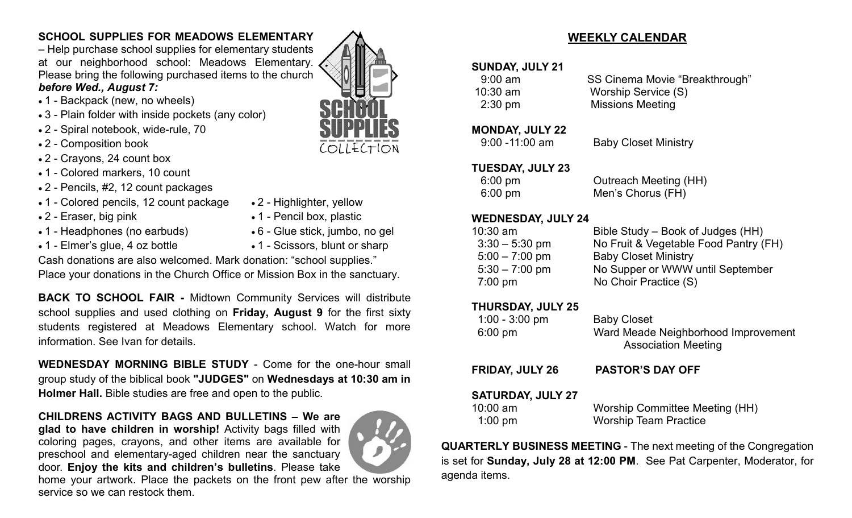## **SCHOOL SUPPLIES FOR MEADOWS ELEMENTARY**

– Help purchase school supplies for elementary students at our neighborhood school: Meadows Elementary. Please bring the following purchased items to the church *before Wed., August 7:*

#### • 1 - Backpack (new, no wheels)

- 3 Plain folder with inside pockets (any color)
- 2 Spiral notebook, wide-rule, 70
- 2 Composition book
- 2 Crayons, 24 count box
- 1 Colored markers, 10 count
- 2 Pencils, #2, 12 count packages
- 1 Colored pencils, 12 count package 2 Highlighter, yellow
- 
- 1 Headphones (no earbuds) 6 Glue stick, jumbo, no gel
- 
- 2 Eraser, big pink 1 Pencil box, plastic
	-
- 1 Elmer's glue, 4 oz bottle 1 Scissors, blunt or sharp

Cash donations are also welcomed. Mark donation: "school supplies."

Place your donations in the Church Office or Mission Box in the sanctuary.

**BACK TO SCHOOL FAIR -** Midtown Community Services will distribute school supplies and used clothing on **Friday, August 9** for the first sixty students registered at Meadows Elementary school. Watch for more information. See Ivan for details.

**WEDNESDAY MORNING BIBLE STUDY** - Come for the one-hour small group study of the biblical book **"JUDGES"** on **Wednesdays at 10:30 am in Holmer Hall.** Bible studies are free and open to the public.

#### **CHILDRENS ACTIVITY BAGS AND BULLETINS – We are glad to have children in worship!** Activity bags filled with coloring pages, crayons, and other items are available for preschool and elementary-aged children near the sanctuary door. **Enjoy the kits and children's bulletins**. Please take



home your artwork. Place the packets on the front pew after the worship service so we can restock them.

# **WEEKLY CALENDAR**

#### **SUNDAY, JULY 21**

9:00 am SS Cinema Movie "Breakthrough" 10:30 am Worship Service (S) 2:30 pm Missions Meeting

#### **MONDAY, JULY 22**

9:00 -11:00 am Baby Closet Ministry

#### **TUESDAY, JULY 23**

| $6:00 \text{ pm}$ | <b>Outreach Meeting (HH)</b> |
|-------------------|------------------------------|
| $6:00 \text{ pm}$ | Men's Chorus (FH)            |

#### **WEDNESDAY, JULY 24**

| Bible Study – Book of Judges (HH)     |
|---------------------------------------|
| No Fruit & Vegetable Food Pantry (FH) |
| <b>Baby Closet Ministry</b>           |
| No Supper or WWW until September      |
| No Choir Practice (S)                 |
|                                       |

#### **THURSDAY, JULY 25**

| $1:00 - 3:00$ pm<br>$6:00 \text{ pm}$ | <b>Baby Closet</b><br>Ward Meade Neighborhood Improvement<br><b>Association Meeting</b> |
|---------------------------------------|-----------------------------------------------------------------------------------------|
| <b>FRIDAY, JULY 26</b>                | <b>PASTOR'S DAY OFF</b>                                                                 |

# **SATURDAY, JULY 27**

| 10:00 am          | Worship Committee Meeting (HH) |
|-------------------|--------------------------------|
| $1:00 \text{ pm}$ | <b>Worship Team Practice</b>   |

**QUARTERLY BUSINESS MEETING** - The next meeting of the Congregation is set for **Sunday, July 28 at 12:00 PM**. See Pat Carpenter, Moderator, for agenda items.

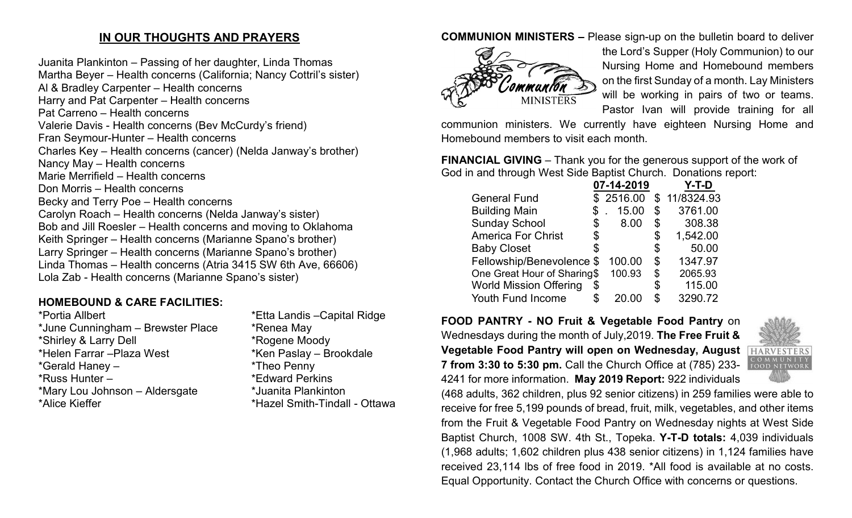# **IN OUR THOUGHTS AND PRAYERS**

Juanita Plankinton – Passing of her daughter, Linda Thomas Martha Beyer – Health concerns (California; Nancy Cottril's sister) Al & Bradley Carpenter – Health concerns Harry and Pat Carpenter – Health concerns Pat Carreno – Health concerns Valerie Davis - Health concerns (Bev McCurdy's friend) Fran Seymour-Hunter – Health concerns Charles Key – Health concerns (cancer) (Nelda Janway's brother) Nancy May – Health concerns Marie Merrifield – Health concerns Don Morris – Health concerns Becky and Terry Poe – Health concerns Carolyn Roach – Health concerns (Nelda Janway's sister) Bob and Jill Roesler – Health concerns and moving to Oklahoma Keith Springer – Health concerns (Marianne Spano's brother) Larry Springer – Health concerns (Marianne Spano's brother) Linda Thomas – Health concerns (Atria 3415 SW 6th Ave, 66606) Lola Zab - Health concerns (Marianne Spano's sister)

# **HOMEBOUND & CARE FACILITIES:**

| *Portia Allbert                   | $\star$ |
|-----------------------------------|---------|
| *June Cunningham - Brewster Place | $\star$ |
| *Shirley & Larry Dell             | $\star$ |
| *Helen Farrar - Plaza West        | $\star$ |
| *Gerald Haney -                   | $\star$ |
| *Russ Hunter -                    | $\star$ |
| *Mary Lou Johnson - Aldersgate    | $\star$ |
| *Alice Kieffer                    | $\star$ |
|                                   |         |

Etta Landis –Capital Ridge \*Renea May \*Rogene Moody Ken Paslay – Brookdale \*Theo Penny \*Edward Perkins \*Juanita Plankinton \*Hazel Smith-Tindall - Ottawa

# **COMMUNION MINISTERS –** Please sign-up on the bulletin board to deliver



the Lord's Supper (Holy Communion) to our Nursing Home and Homebound members on the first Sunday of a month. Lay Ministers will be working in pairs of two or teams. Pastor Ivan will provide training for all

communion ministers. We currently have eighteen Nursing Home and Homebound members to visit each month.

**FINANCIAL GIVING** – Thank you for the generous support of the work of God in and through West Side Baptist Church. Donations report:

|                               |    | 07-14-2019 | 7-T-D          |
|-------------------------------|----|------------|----------------|
| <b>General Fund</b>           |    | \$2516.00  | \$11/8324.93   |
| <b>Building Main</b>          | \$ | 15.00      | \$<br>3761.00  |
| <b>Sunday School</b>          | \$ | 8.00       | \$<br>308.38   |
| <b>America For Christ</b>     | \$ |            | \$<br>1,542.00 |
| <b>Baby Closet</b>            | S  |            | \$<br>50.00    |
| Fellowship/Benevolence \$     |    | 100.00     | \$<br>1347.97  |
| One Great Hour of Sharing\$   |    | 100.93     | \$<br>2065.93  |
| <b>World Mission Offering</b> | \$ |            | \$<br>115.00   |
| Youth Fund Income             | \$ | 20.00      | \$<br>3290.72  |
|                               |    |            |                |

**FOOD PANTRY - NO Fruit & Vegetable Food Pantry** on Wednesdays during the month of July,2019. **The Free Fruit & Vegetable Food Pantry will open on Wednesday, August 7 from 3:30 to 5:30 pm.** Call the Church Office at (785) 233- 4241 for more information. **May 2019 Report:** 922 individuals



(468 adults, 362 children, plus 92 senior citizens) in 259 families were able to receive for free 5,199 pounds of bread, fruit, milk, vegetables, and other items from the Fruit & Vegetable Food Pantry on Wednesday nights at West Side Baptist Church, 1008 SW. 4th St., Topeka. **Y-T-D totals:** 4,039 individuals (1,968 adults; 1,602 children plus 438 senior citizens) in 1,124 families have received 23,114 lbs of free food in 2019. \*All food is available at no costs. Equal Opportunity. Contact the Church Office with concerns or questions.